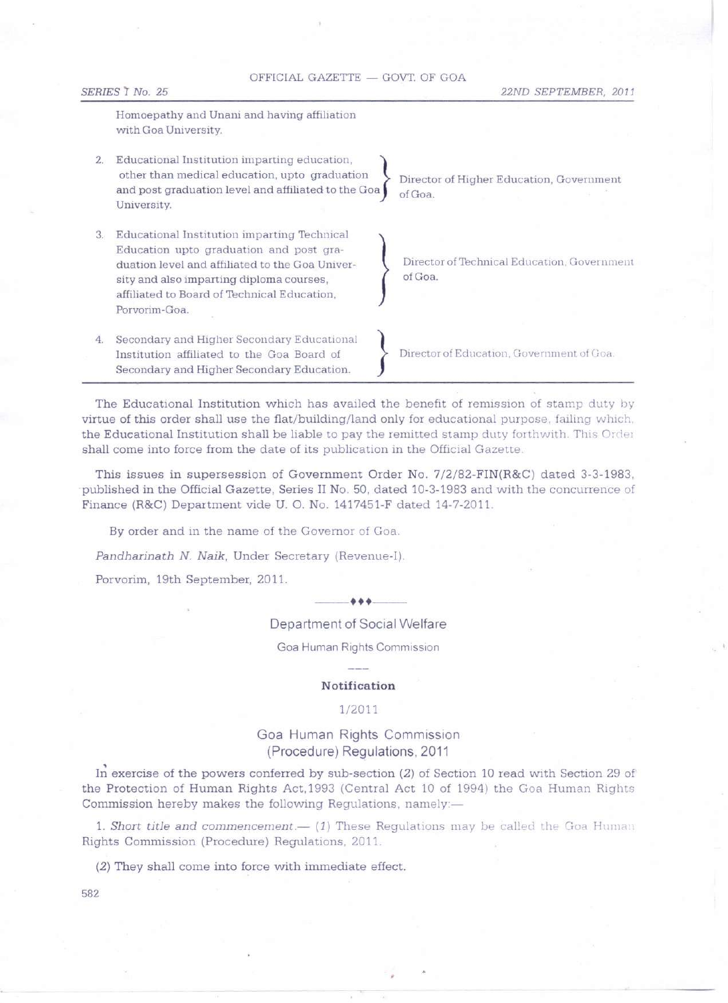## OFFICIAL GAZETTE - GOVT. OF GOA

*SERIES 'I No. 25 22ND SEPTEMBER, 2011*

Homoepathy and Unani and having affiliation with Goa University.

- 2. Educational Institution imparting education, other than medical education, upto graduation and post graduation level and affiliated to the Goa University.
- 3. Educational Institution imparting Technical Education upto graduation and post graduation level and affiliated to the Goa University and also imparting diploma courses, affiliated to Board of Technical Education, Porvorim-Goa.
- 4. Secondary and Higher Secondary Educational Institution affiliated to the Goa Board of Secondary and Higher Secondary Education.

Director of Higher Education, Government ofGoa.

 $\left\{\begin{array}{c}p\text{ is odd}\end{array}\right.$ Director of Technical Education, Government ofGoa.

Director of Education, Government of Goa.

The Educational Institution which has availed the benefit of remission of stamp duty by virtue of this order shall use the flat/building/land only for educational purpose, failing which, the Educational Institution shall be liable to pay the remitted stamp duty forthwith. This Order shall come into force from the date of its publication in the Official Gazette.

This issues in supersession of Government Order No. 7/2/82-FIN(R&C) dated 3-3-1983, published in the Official Gazette, Series II No. 50, dated 10-3-1983 and with the concurrence of Finance (R&C) Department vide U. O. No. 1417451-F dated 14-7-2011.

By order and in the name of the Governor of Goa.

*Pandharinath* N. *Naik,* Under Secretary (Revenue-I).

Porvorim, 19th September, 2011.

Department of Social Welfare

 $-$ 

Goa Human Rights Commission

### **Notification**

## 1/2011

# Goa Human Rights Commission (Procedure) Regulations, 2011

(Procedure) Regulations, 2011<br>In exercise of the powers conferred by sub-section (2) of Section 10 read with Section 29 of the Protection of Human Rights Act,1993 (Central Act 10 of 1994) the Goa Human Rights Commission hereby makes the following Regulations, namely:-

**1. Short title and commencement.**— (1) These Regulations may be called the Goa Human Rights Commission (Procedure) Regulations, 2011.

(2) They shall come into force with immediate effect.

582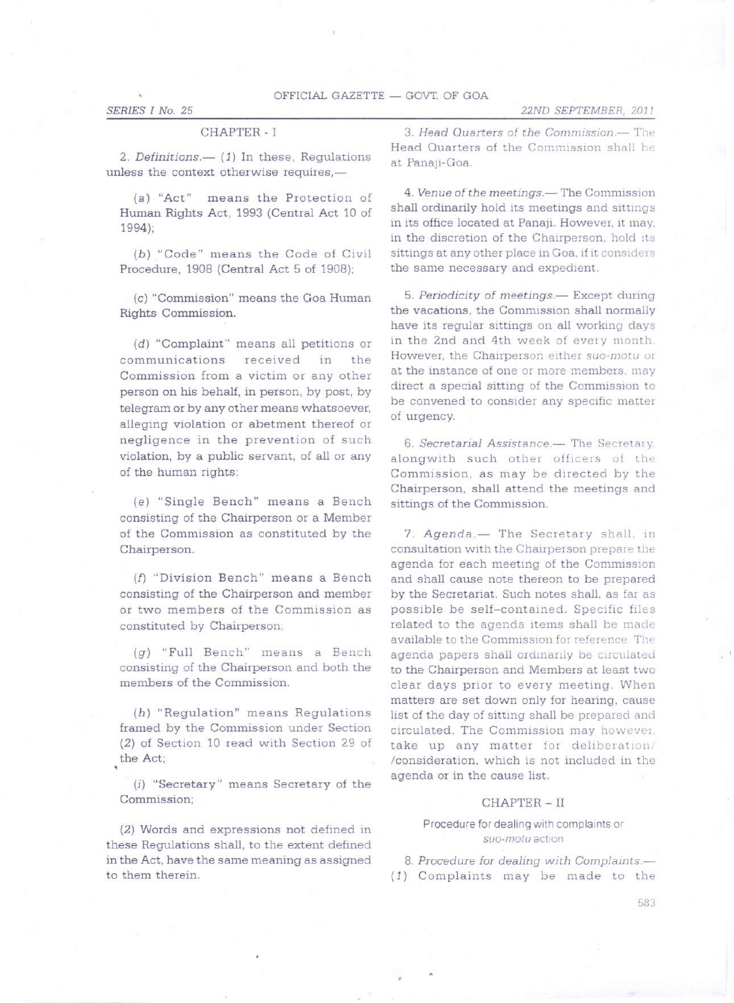### *SERIES I No. 25*

### CHAPTER - I

2. *Definitions.*— (1) In these, Regulations unless the context otherwise requires.-

*(a)* "Act" means the Protection of Human Rights Act, 1993 (Central Act 10 of 1994);

*(b)* "Code" means the Code of Civil Procedure, 1908 (Central Act 5 of 1908);

*(c)* "Commission" means the Goa Human Rights Commission.

*(d)* "Complaint" means all petitions or communications received in the Commission from a victim or any other person on his behalf, in person, by post, by telegram or by any other means whatsoever, alleging violation or abetment thereof or negligence in the prevention of such violation, by a public servant, of all or any of the human rights;

*(e)* "Single Bench" means a Bench consisting of the Chairperson or a Member of the Commission as constituted by the Chairperson.

(f) "Division Bench" means a Bench consisting of the Chairperson and member or two members of the Commission as constituted by Chairperson;

*(g)* "Full Bench" means a Bench consisting of the Chairperson and both the members of the Commission.

*(h)* "Regulation" means Regulations framed by the Commission under Section (2) of Section 10 read with Section 29 of the Act

*(i)* "Secretary" means Secretary of the Commission;

(2) Words and expressions not defined in these Regulations shall, to the extent defined in the Act, have the same meaning as assigned to them therein.

*3. Head Quarters of the Commission.-* The Head Quarters of the Commission shall be at Panaji-Goa.

*4. Venue ofthe meetings.-* The Commission shall ordinarily hold its meetings and sittings in its office located at Panaji. However, it may, in the discretion of the Chairperson, hold its sittings at any other place in Goa, if it considers the same necessary and expedient.

*5. Periodicity of meetings.-* Except during the vacations, the Commission shall normally have its regular sittings on all working days in the 2nd and 4th week of every month. However, the Chairperson either suo-motu or at the instance of one or more members, may direct a special sitting of the Commission to be convened to consider any specific matter of urgency.

**6.** Secretarial Assistance.- The Secretary. alongwith such other officers of the Commission, as may be directed by the Chairperson, shall attend the meetings and sittings of the Commission.

7. *Agenda.*- The Secretary shall, in consultation with the Chairperson prepare the agenda for each meeting of the Commission and shall cause note thereon to be prepared by the Secretariat. Such notes shall, as far as possible be self-contained. Specific files related to the agenda items shall be made available to the Commission for reference. The agenda papers shall ordmarily be circulated to the Chairperson and Members at least two clear days prior to every meeting. When matters are set down only for hearing, cause list of the day of sitting shall be prepared and circulated. The Commission may however: take up any matter for deliberation/ /consideration, which is not included in the agenda or in the cause list.

#### CHAPTER - II

### Procedure for dealing with complaints or *suo-motu*action

*8. Procedure for dealing with Complaints.-* (1) Complaints may be made to the

583

## *22ND SEPTEMBER,* 201 *<sup>J</sup>*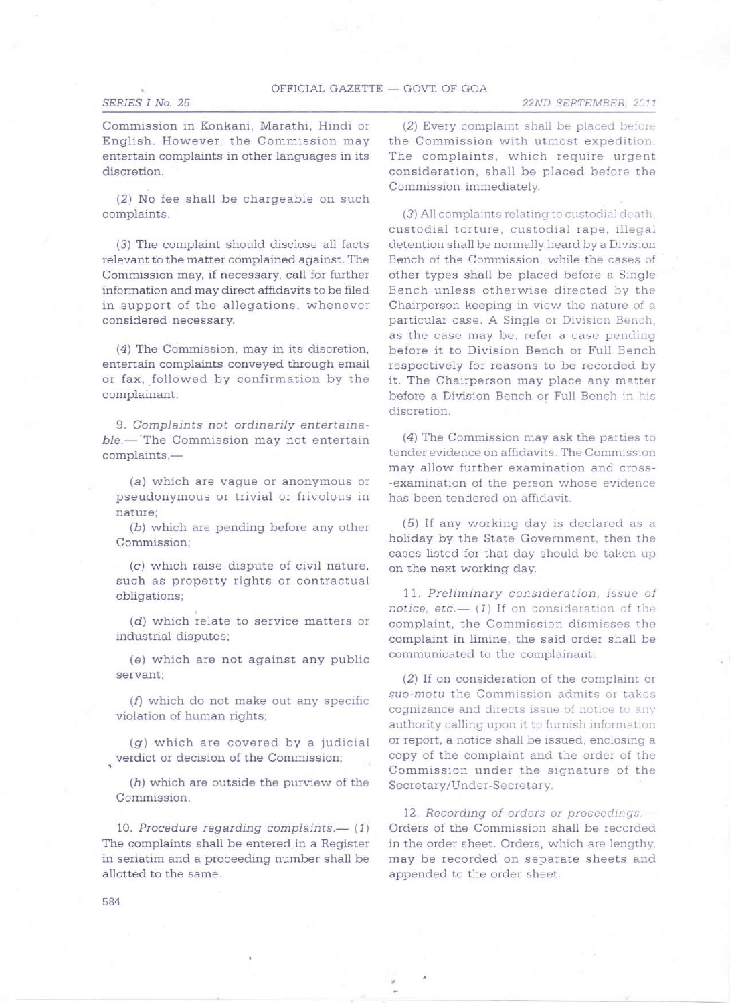## *SERIES I No. 25*

*22ND SEPTEMBER. 2011*

Commission in Konkani, Marathi, Hindi or English. However, the Commission may entertain complaints in other languages in its discretion.

(2) No fee shall be chargeable on such complaints.

(3) The complaint should disclose all facts relevant to the matter complained against. The Commission may, if necessary, call for further information and may direct affidavits to be filed in support of the allegations, whenever considered necessary.

(4) The Commission, may in its discretion, entertain complaints conveyed through email or fax, followed by confirmation by the complainant.

*9. Complaints not ordinarily entertainable.-* 'The Commission may not entertain complaints,-

*(a)* which are vague or anonymous or pseudonymous or trivial or frivolous in nature;

*(b)* which are pending before any other Commission;

*(c)* which raise dispute of civil nature, such as property rights or contractual obligations;

. *(d)* which relate to service matters or industrial disputes;

*(e)* which are not against any public servant;

(f) which do not make out any specific violation of human rights;

*(g)* which are covered by a judicial verdict or decision of the Commission;

*(h)* which are outside the purview of the Commission.

*10. Procedure regarding complaints.- (1)* The complaints shall be entered in a Register in seriatim and a proceeding number shall be allotted to the same.

(2) Every complaint shall be placed before the Commission with utmost expedition. The complaints, which require urgent consideration, shall be placed before the Commission immediately.

(3) All complaints relating to custodial death, custodial torture, custodial rape, illegal detention shall be normally heard by a Division Bench of the Commission, while the cases of other types shall be placed before a Single Bench unless otherwise directed by the Chairperson keeping in view the nature of a particular case. A Single or Division Bench, as the case may be, refer a case pending before it to Division Bench or Full Bench respectively for reasons to be recorded by it. The Chairperson may place any matter before a Division Bench or Full Bench in his discretion.

(4) The Commission may ask the parties to tender evidence on affidavits. The Commission may allow further examination and cross- -examination of the person whose evidence has been tendered on affidavit,

(5) If any working day is declared as a holiday by the State Government, then the cases listed for that day should be taken up on the next working day.

*11. Preliminary consideration, issue of notice, etc.*- (1) If on consideration of the complaint, the Commission dismisses the complaint in limine, the said order shall be communicated to the complainant.

(2) If on consideration of the complaint or *suo-motu* the Commission admits or takes cognizance and directs issue of notice to any authority calling upon it to furnish information or report, a notice shall be issued, enclosing a copy of the complaint and the order of the Commission under the signature of the Secretary/Under-Secretary.

*12. Recording of orders or proceedings.-* Orders of the Commission shall be recorded in the order sheet, Orders, which are lengthy, may be recorded on separate sheets and appended to the order sheet.

584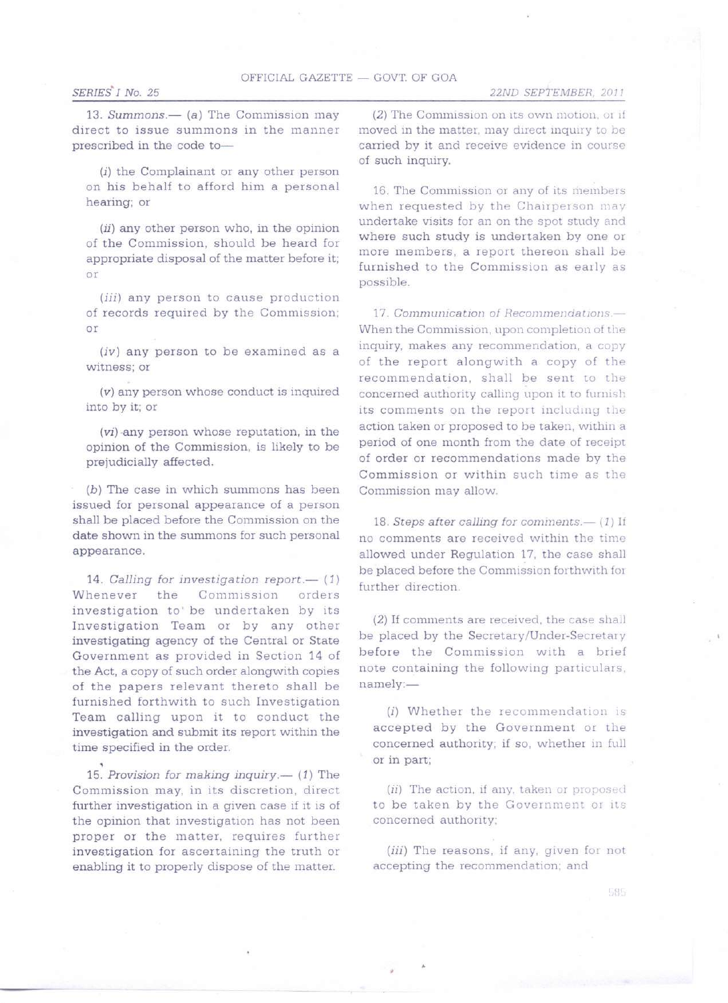## OFFICIAL GAZETTE - GOVT. OF GOA

## *SERIES' I No. 25*

*22ND SEPTEMBER, 2011*

13. *Summons.*— (a) The Commission may direct to issue summons in the manner prescribed in the code to-

*(i)* the Complainant or any other person on his behalf to afford him a personal hearing; or

*(ii)* any other person who, in the opinion of the Commission, should be heard for appropriate disposal of the matter before it; or

*(iii)* any person to cause production of records required by the Commission; or

*(iv)* any person to be examined as a witness; or

*(v)* any person whose conduct is inquired into by it; or

*(vi)* any person whose reputation, in the opinion of the Commission, is likely to be prejudicially affected.

*(b)* The case in which summons has been issued for personal appearance of a person shall be placed before the Commission on the date shown in the summons for such personal appearance.

*14. Calling for investigation report.-* (1) Whenever the Commission orders investigation to' be undertaken by its Investigation Team or by any other investigating agency of the Central or State Government as provided in Section 14 of the Act, a copy of such order alongwith copies of the papers relevant thereto shall be furnished forthwith to such Investigation Team calling upon it to conduct the investigation and submit its report within the time specified in the order. ,

*15. Provision for making inquiry.-* (1) The Commission may, in its discretion, direct further investigation in a given case if it is of the opinion that investigation has not been proper or the matter, requires further investigation for ascertaining the truth or enabling it to properly dispose of the matter.

 $(2)$  The Commission on its own motion, or if moved in the matter, may direct inquiry to be carried by it and receive evidence in course of such inquiry.

16. The Commission or any of its members when requested by the Chairperson may undertake visits for an on the spot study and where such study is undertaken by one or more members, a report thereon shall be furnished to the Commission as early as possible.

*17. Communication of Recomrnencieuons..-:* When the Commission, upon completion of the inquiry, makes any recommendation, a copy of the report alongwith a copy of the recommendation, shall be sent to the concerned authority calling upon it to furnish its comments on the report including the action taken or proposed to be taken, within a period of one month from the date of receipt of order or recommendations made by the Commission or within such time as the Commission may allow.

*18. Steps after calling for cominents.-* (1) If no comments are received within the time allowed under Regulation 17, the case shall be placed before the Commission forthwith fot further direction.

(2) If comments are received, the case shall be placed by the Secretary/Under-Secretary before the Commission with a brief note containing the following particulars, namely:-

*(i)* Whether the recommendation is accepted by the Government or the concerned authority; if so, whether in full or in part;

*(ii)* The action, if any, taken or proposed to be taken by the Government or its concerned authority;

*(iii)* The reasons, if any, given for not accepting the recommendation; and

585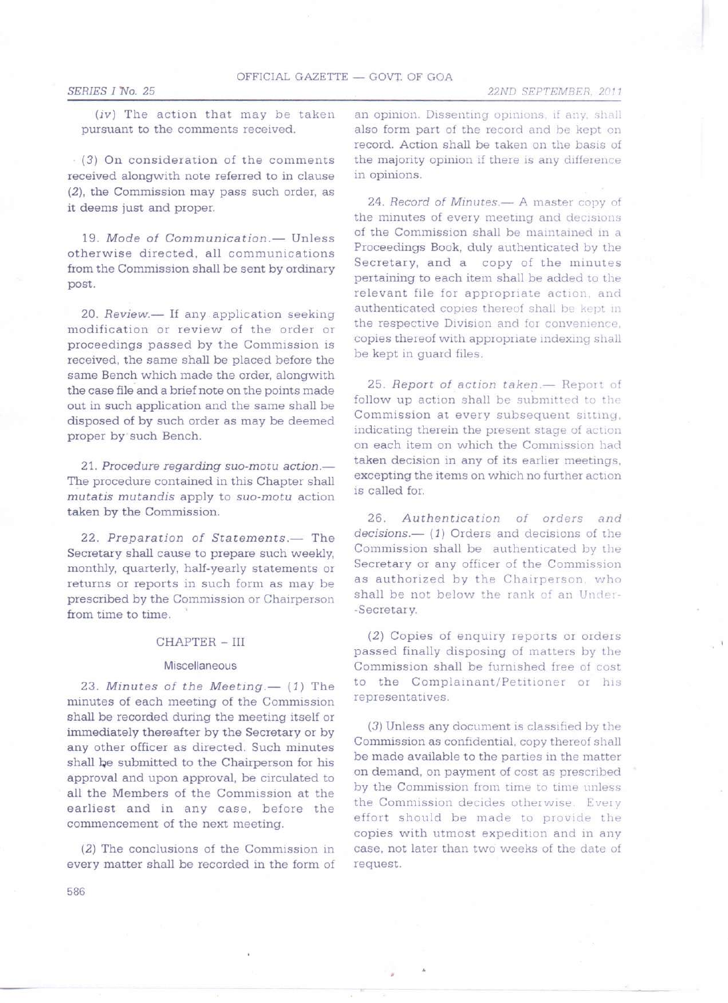*22ND SEPTEMBER. 2011*

*(iv)* The action that may be taken pursuant to the comments received.

(3) On consideration of the comments received alongwith note referred to in clause (2), the Commission may pass such order, as it deems just and proper.

*19. Mode* of *Communication.-* Unless otherwise directed, all communications from the Commission shall be sent by ordinary post.

20. *Review.*— If any application seeking modification or review of the order or proceedings passed by the Commission is received, the same shall be placed before the same Bench which made the order, alongwith the case file and a brief note on the points made out in such application and the same shall be disposed of by such order as may be deemed proper by such Bench.

*21. Procedure regarding suo-motu action.-* The procedure contained in this Chapter shall *mutatis mutandis* apply to *suo-motu* action taken by the Commission.

*22. Preparation* of *Statements.-* The Secretary shall cause to prepare such weekly, monthly, quarterly, half-yearly statements or returns or reports in such form as may be prescribed by the Commission or Chairperson from time to time.

### CHAPTER - HI

#### **Miscellaneous**

*23. Minutes* of *the Meeting.-* (1) The minutes of each meeting of the Commission shall be recorded during the meeting itself or immediately thereafter by the Secretary or by any other officer as directed. Such minutes shall be submitted to the Chairperson for his approval and upon approval, be circulated to all the Members of the Commission at the earliest and in any case, before the commencement of the next meeting.

(2) The conclusions of the Commission in every matter shall be recorded in the form of an opinion. Dissenting opinions, if any, shall also form part of the record and be kept on record. Action shall be taken on the basis of the majority opinion if there is any difference in opinions.

*24. Record* of *Minutes.-* A master copy of the minutes of every meeting and decisions of the Commission shall be maintained in a Proceedings Book, duly authenticated by the Secretary, and a copy of the minutes pertaining to each item shall be added to the relevant file for appropriate action, and authenticated copies thereof shall be kept in the respective Division and for convenience. copies thereof with appropriate indexing shall be kept in guard files.

25*. Report of action taken.*- Report of follow up action shall be submitted to the Commission at every subsequent sitting, indicating therein the present stage of action on each item on which the Commission had taken decision in any of its earlier meetings, excepting the items on which no further action is called for.

*26. Authentication* of *orders and decisions.-* (1) Orders and decisions of the Commission shall be authenticated by the Secretary or any officer of the Commission as authorized by the Chairperson, who shall be not below the rank of an Under--Secretary.

(2) Copies of enquiry reports or orders passed finally disposing of matters by the Commission shall be furnished free of cost to the Complainant/Petitioner or his representatives.

(3) Unless any document is classified by the Commission as confidential, copy thereof shall be made available to the parties in the matter on demand, on payment of cost as prescribed by the Commission from time to time unless the Commission decides otherwise. Every effort should be made to provide the copies with utmost expedition and in any case, not later than two weeks of the date of request.